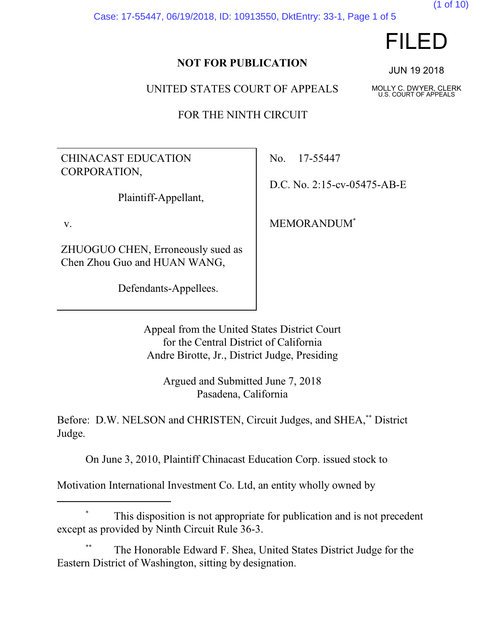Case: 17-55447, 06/19/2018, ID: 10913550, DktEntry: 33-1, Page 1 of 5

# FILED

(1 of 10)

#### **NOT FOR PUBLICATION**

UNITED STATES COURT OF APPEALS

FOR THE NINTH CIRCUIT

CHINACAST EDUCATION CORPORATION,

Plaintiff-Appellant,

v.

ZHUOGUO CHEN, Erroneously sued as Chen Zhou Guo and HUAN WANG,

Defendants-Appellees.

No. 17-55447

D.C. No. 2:15-cv-05475-AB-E

MEMORANDUM\*

Appeal from the United States District Court for the Central District of California Andre Birotte, Jr., District Judge, Presiding

> Argued and Submitted June 7, 2018 Pasadena, California

Before: D.W. NELSON and CHRISTEN, Circuit Judges, and SHEA,\*\* District Judge.

On June 3, 2010, Plaintiff Chinacast Education Corp. issued stock to

Motivation International Investment Co. Ltd, an entity wholly owned by

### This disposition is not appropriate for publication and is not precedent except as provided by Ninth Circuit Rule 36-3.

The Honorable Edward F. Shea, United States District Judge for the Eastern District of Washington, sitting by designation.

JUN 19 2018

MOLLY C. DWYER, CLERK U.S. COURT OF APPEALS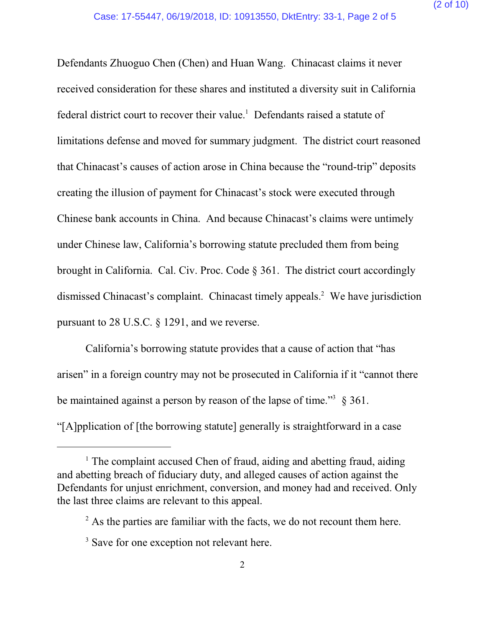Defendants Zhuoguo Chen (Chen) and Huan Wang. Chinacast claims it never received consideration for these shares and instituted a diversity suit in California federal district court to recover their value. <sup>1</sup> Defendants raised a statute of limitations defense and moved for summary judgment. The district court reasoned that Chinacast's causes of action arose in China because the "round-trip" deposits creating the illusion of payment for Chinacast's stock were executed through Chinese bank accounts in China. And because Chinacast's claims were untimely under Chinese law, California's borrowing statute precluded them from being brought in California. Cal. Civ. Proc. Code § 361. The district court accordingly dismissed Chinacast's complaint. Chinacast timely appeals.<sup>2</sup> We have jurisdiction pursuant to 28 U.S.C. § 1291, and we reverse.

California's borrowing statute provides that a cause of action that "has arisen" in a foreign country may not be prosecuted in California if it "cannot there be maintained against a person by reason of the lapse of time."<sup>3</sup>  $\S 361$ . "[A]pplication of [the borrowing statute] generally is straightforward in a case

<sup>&</sup>lt;sup>1</sup> The complaint accused Chen of fraud, aiding and abetting fraud, aiding and abetting breach of fiduciary duty, and alleged causes of action against the Defendants for unjust enrichment, conversion, and money had and received. Only the last three claims are relevant to this appeal.

 $2^2$  As the parties are familiar with the facts, we do not recount them here.

<sup>&</sup>lt;sup>3</sup> Save for one exception not relevant here.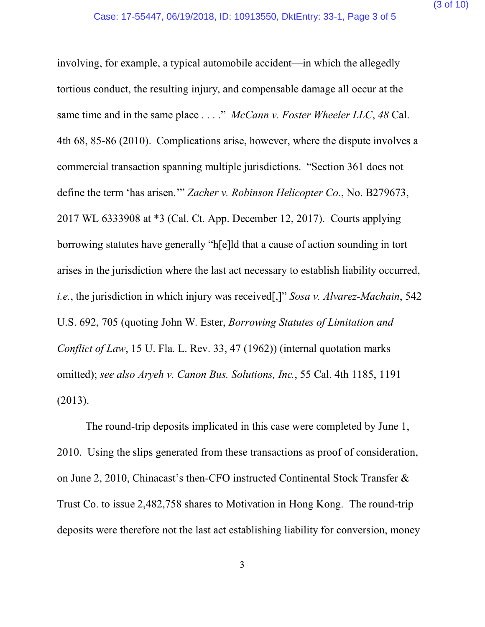involving, for example, a typical automobile accident—in which the allegedly tortious conduct, the resulting injury, and compensable damage all occur at the same time and in the same place . . . ." *McCann v. Foster Wheeler LLC*, *48* Cal. 4th 68, 85-86 (2010). Complications arise, however, where the dispute involves a commercial transaction spanning multiple jurisdictions. "Section 361 does not define the term 'has arisen.'" *Zacher v. Robinson Helicopter Co.*, No. B279673, 2017 WL 6333908 at \*3 (Cal. Ct. App. December 12, 2017). Courts applying borrowing statutes have generally "h[e]ld that a cause of action sounding in tort arises in the jurisdiction where the last act necessary to establish liability occurred, *i.e.*, the jurisdiction in which injury was received[,]" *Sosa v. Alvarez-Machain*, 542 U.S. 692, 705 (quoting John W. Ester, *Borrowing Statutes of Limitation and Conflict of Law*, 15 U. Fla. L. Rev. 33, 47 (1962)) (internal quotation marks omitted); *see also Aryeh v. Canon Bus. Solutions, Inc.*, 55 Cal. 4th 1185, 1191 (2013).

The round-trip deposits implicated in this case were completed by June 1, 2010. Using the slips generated from these transactions as proof of consideration, on June 2, 2010, Chinacast's then-CFO instructed Continental Stock Transfer & Trust Co. to issue 2,482,758 shares to Motivation in Hong Kong. The round-trip deposits were therefore not the last act establishing liability for conversion, money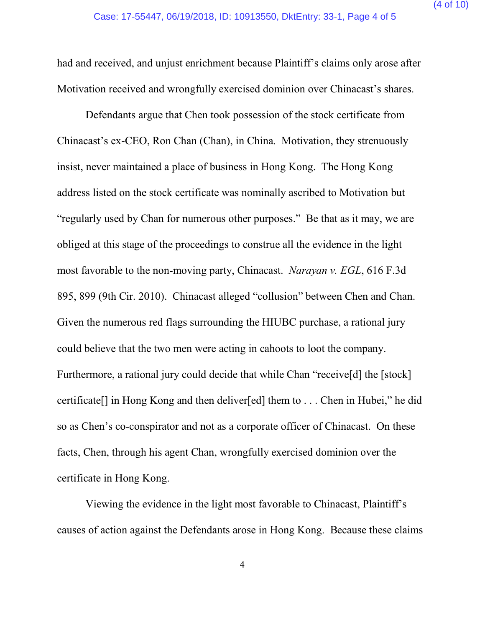had and received, and unjust enrichment because Plaintiff's claims only arose after Motivation received and wrongfully exercised dominion over Chinacast's shares.

Defendants argue that Chen took possession of the stock certificate from Chinacast's ex-CEO, Ron Chan (Chan), in China. Motivation, they strenuously insist, never maintained a place of business in Hong Kong. The Hong Kong address listed on the stock certificate was nominally ascribed to Motivation but "regularly used by Chan for numerous other purposes." Be that as it may, we are obliged at this stage of the proceedings to construe all the evidence in the light most favorable to the non-moving party, Chinacast. *Narayan v. EGL*, 616 F.3d 895, 899 (9th Cir. 2010). Chinacast alleged "collusion" between Chen and Chan. Given the numerous red flags surrounding the HIUBC purchase, a rational jury could believe that the two men were acting in cahoots to loot the company. Furthermore, a rational jury could decide that while Chan "receive<sup>[d]</sup> the [stock] certificate[] in Hong Kong and then deliver[ed] them to . . . Chen in Hubei," he did so as Chen's co-conspirator and not as a corporate officer of Chinacast. On these facts, Chen, through his agent Chan, wrongfully exercised dominion over the certificate in Hong Kong.

Viewing the evidence in the light most favorable to Chinacast, Plaintiff's causes of action against the Defendants arose in Hong Kong. Because these claims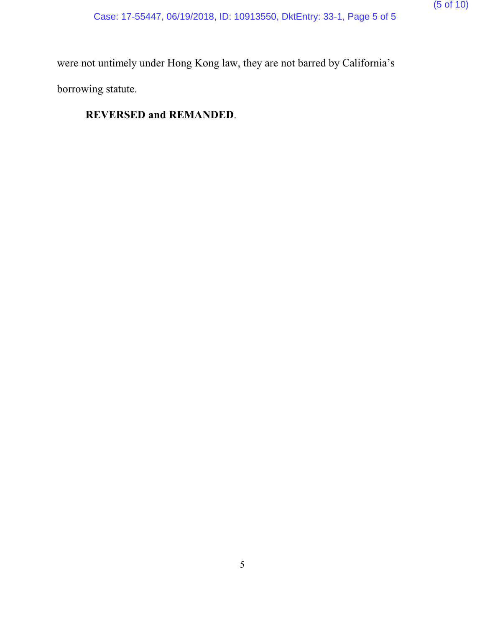were not untimely under Hong Kong law, they are not barred by California's borrowing statute.

### **REVERSED and REMANDED**.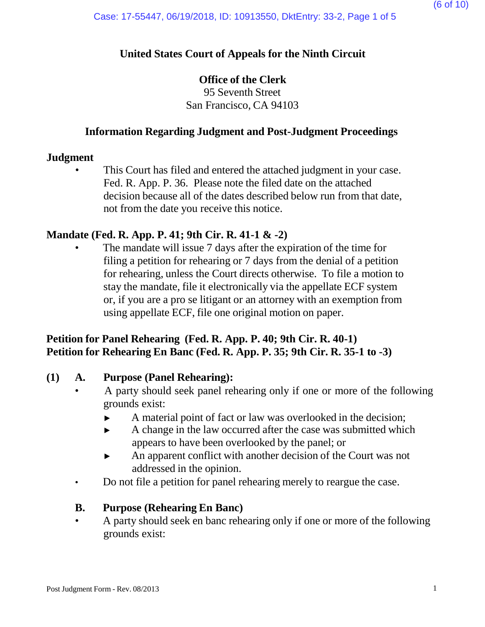### **United States Court of Appeals for the Ninth Circuit**

### **Office of the Clerk**

95 Seventh Street San Francisco, CA 94103

#### **Information Regarding Judgment and Post-Judgment Proceedings**

#### **Judgment**

This Court has filed and entered the attached judgment in your case. Fed. R. App. P. 36. Please note the filed date on the attached decision because all of the dates described below run from that date, not from the date you receive this notice.

### **Mandate (Fed. R. App. P. 41; 9th Cir. R. 41-1 & -2)**

The mandate will issue 7 days after the expiration of the time for filing a petition for rehearing or 7 days from the denial of a petition for rehearing, unless the Court directs otherwise. To file a motion to stay the mandate, file it electronically via the appellate ECF system or, if you are a pro se litigant or an attorney with an exemption from using appellate ECF, file one original motion on paper.

### **Petition for Panel Rehearing (Fed. R. App. P. 40; 9th Cir. R. 40-1) Petition for Rehearing En Banc (Fed. R. App. P. 35; 9th Cir. R. 35-1 to -3)**

#### **(1) A. Purpose (Panel Rehearing):**

- A party should seek panel rehearing only if one or more of the following grounds exist:
	- ► A material point of fact or law was overlooked in the decision;
	- ► A change in the law occurred after the case was submitted which appears to have been overlooked by the panel; or
	- ► An apparent conflict with another decision of the Court was not addressed in the opinion.
- Do not file a petition for panel rehearing merely to reargue the case.

#### **B. Purpose (Rehearing En Banc)**

• A party should seek en banc rehearing only if one or more of the following grounds exist: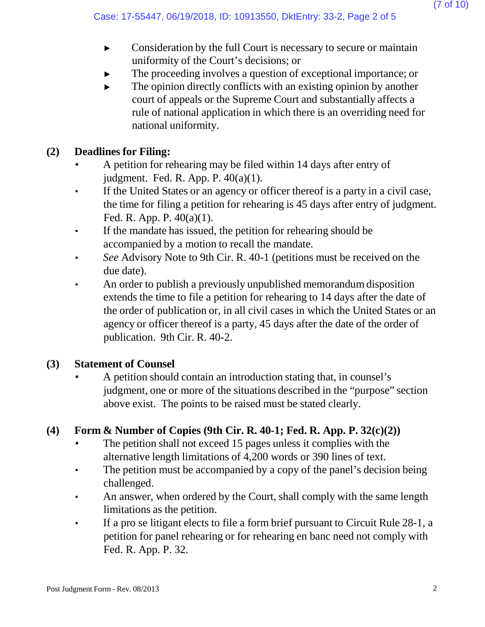- ► Consideration by the full Court is necessary to secure or maintain uniformity of the Court's decisions; or
- The proceeding involves a question of exceptional importance; or
- $\blacktriangleright$  The opinion directly conflicts with an existing opinion by another court of appeals or the Supreme Court and substantially affects a rule of national application in which there is an overriding need for national uniformity.

### **(2) Deadlines for Filing:**

- A petition for rehearing may be filed within 14 days after entry of judgment. Fed. R. App. P. 40(a)(1).
- If the United States or an agency or officer thereof is a party in a civil case, the time for filing a petition for rehearing is 45 days after entry of judgment. Fed. R. App. P. 40(a)(1).
- If the mandate has issued, the petition for rehearing should be accompanied by a motion to recall the mandate.
- *See* Advisory Note to 9th Cir. R. 40-1 (petitions must be received on the due date).
- An order to publish a previously unpublished memorandum disposition extends the time to file a petition for rehearing to 14 days after the date of the order of publication or, in all civil cases in which the United States or an agency or officer thereof is a party, 45 days after the date of the order of publication. 9th Cir. R. 40-2.

### **(3) Statement of Counsel**

• A petition should contain an introduction stating that, in counsel's judgment, one or more of the situations described in the "purpose" section above exist. The points to be raised must be stated clearly.

## **(4) Form & Number of Copies (9th Cir. R. 40-1; Fed. R. App. P. 32(c)(2))**

- The petition shall not exceed 15 pages unless it complies with the alternative length limitations of 4,200 words or 390 lines of text.
- The petition must be accompanied by a copy of the panel's decision being challenged.
- An answer, when ordered by the Court, shall comply with the same length limitations as the petition.
- If a pro se litigant elects to file a form brief pursuant to Circuit Rule 28-1, a petition for panel rehearing or for rehearing en banc need not comply with Fed. R. App. P. 32.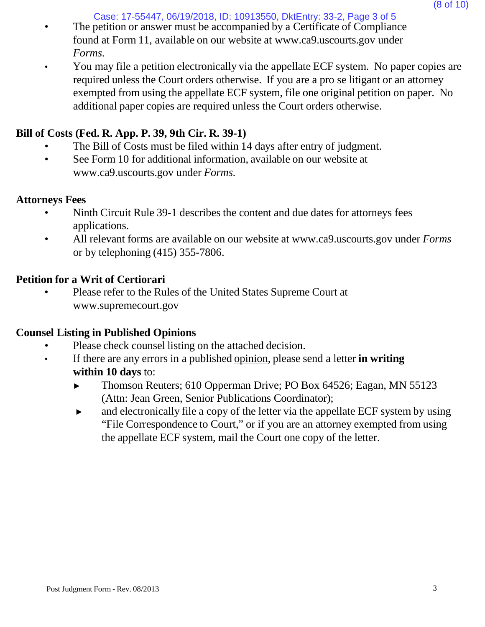Case: 17-55447, 06/19/2018, ID: 10913550, DktEntry: 33-2, Page 3 of 5

- The petition or answer must be accompanied by a Certificate of Compliance found at Form 11, available on our website [at www.ca9.uscourts.gov](http://www.ca9.uscourts.gov/) under *Forms.*
- You may file a petition electronically via the appellate ECF system. No paper copies are required unless the Court orders otherwise. If you are a pro se litigant or an attorney exempted from using the appellate ECF system, file one original petition on paper. No additional paper copies are required unless the Court orders otherwise.

## **Bill of Costs (Fed. R. App. P. 39, 9th Cir. R. 39-1)**

- The Bill of Costs must be filed within 14 days after entry of judgment.
- See Form 10 for addi[t](http://www.ca9.uscourts.gov/)ional information, available on our website at [www.ca9.uscourts.gov](http://www.ca9.uscourts.gov/) under *Forms.*

### **Attorneys Fees**

- Ninth Circuit Rule 39-1 describes the content and due dates for attorneys fees applications.
- All relevant forms are available on our website at [www.ca9.uscourts.gov](http://www.ca9.uscourts.gov/) under *Forms* or by telephoning (415) 355-7806.

### **Petition for a Writ of Certiorari**

• Please refer to the Rules of the United States Supreme Court a[t](http://www.supremecourt.gov/) [www.supremecourt.gov](http://www.supremecourt.gov/)

### **Counsel Listing in Published Opinions**

- Please check counsel listing on the attached decision.
- If there are any errors in a published opinion, please send a letter **in writing within 10 days** to:
	- ► Thomson Reuters; 610 Opperman Drive; PO Box 64526; Eagan, MN 55123 (Attn: Jean Green, Senior Publications Coordinator);
	- ► and electronically file a copy of the letter via the appellate ECF system by using "File Correspondence to Court," or if you are an attorney exempted from using the appellate ECF system, mail the Court one copy of the letter.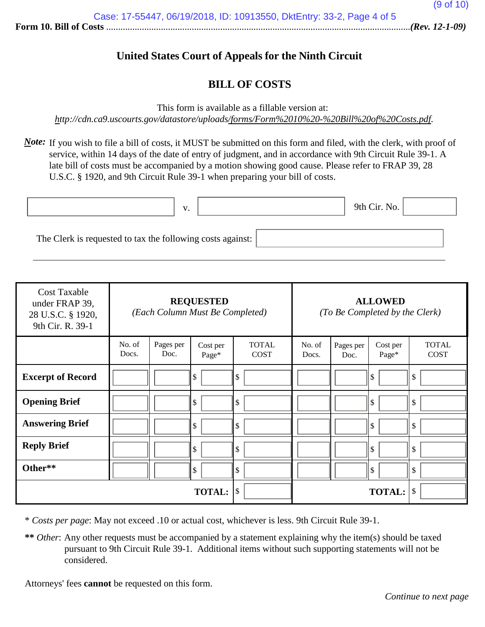### **United States Court of Appeals for the Ninth Circuit**

#### **BILL OF COSTS**

This form is available as a fillable version at:

*<http://cdn.ca9.uscourts.gov/datastore/uploads/forms/Form%2010%20-%20Bill%20of%20Costs.pdf>*.

*Note*: If you wish to file a bill of costs, it MUST be submitted on this form and filed, with the clerk, with proof of service, within 14 days of the date of entry of judgment, and in accordance with 9th Circuit Rule 39-1. A late bill of costs must be accompanied by a motion showing good cause. Please refer to FRAP 39, 28 U.S.C. § 1920, and 9th Circuit Rule 39-1 when preparing your bill of costs.

|                                                            | $\mathbf{V}$ |  | 9th Cir. No. |  |
|------------------------------------------------------------|--------------|--|--------------|--|
|                                                            |              |  |              |  |
| The Clerk is requested to tax the following costs against: |              |  |              |  |

| <b>Cost Taxable</b><br>under FRAP 39,<br>28 U.S.C. § 1920,<br>9th Cir. R. 39-1 | <b>REQUESTED</b><br>(Each Column Must Be Completed) |                   |                   | <b>ALLOWED</b><br>(To Be Completed by the Clerk) |                 |                   |                   |                             |
|--------------------------------------------------------------------------------|-----------------------------------------------------|-------------------|-------------------|--------------------------------------------------|-----------------|-------------------|-------------------|-----------------------------|
|                                                                                | No. of<br>Docs.                                     | Pages per<br>Doc. | Cost per<br>Page* | <b>TOTAL</b><br><b>COST</b>                      | No. of<br>Docs. | Pages per<br>Doc. | Cost per<br>Page* | <b>TOTAL</b><br><b>COST</b> |
| <b>Excerpt of Record</b>                                                       |                                                     |                   | \$                | \$                                               |                 |                   | ll \$             | \$                          |
| <b>Opening Brief</b>                                                           |                                                     |                   | \$                | \$                                               |                 |                   | l \$              | \$                          |
| <b>Answering Brief</b>                                                         |                                                     |                   | \$                | \$                                               |                 |                   | l \$              | \$                          |
| <b>Reply Brief</b>                                                             |                                                     |                   | \$                | $\sqrt{3}$                                       |                 |                   | ll \$             | \$                          |
| Other**                                                                        |                                                     |                   | \$                | $\mathcal{S}$                                    |                 |                   | ll \$             | \$                          |
|                                                                                |                                                     |                   | <b>TOTAL:</b>     | \$                                               |                 |                   | <b>TOTAL:</b>     | \$                          |

\* *Costs per page*: May not exceed .10 or actual cost, whichever is less. 9th Circuit Rule 39-1.

**\*\*** *Other*: Any other requests must be accompanied by a statement explaining why the item(s) should be taxed pursuant to 9th Circuit Rule 39-1. Additional items without such supporting statements will not be considered.

Attorneys' fees **cannot** be requested on this form.